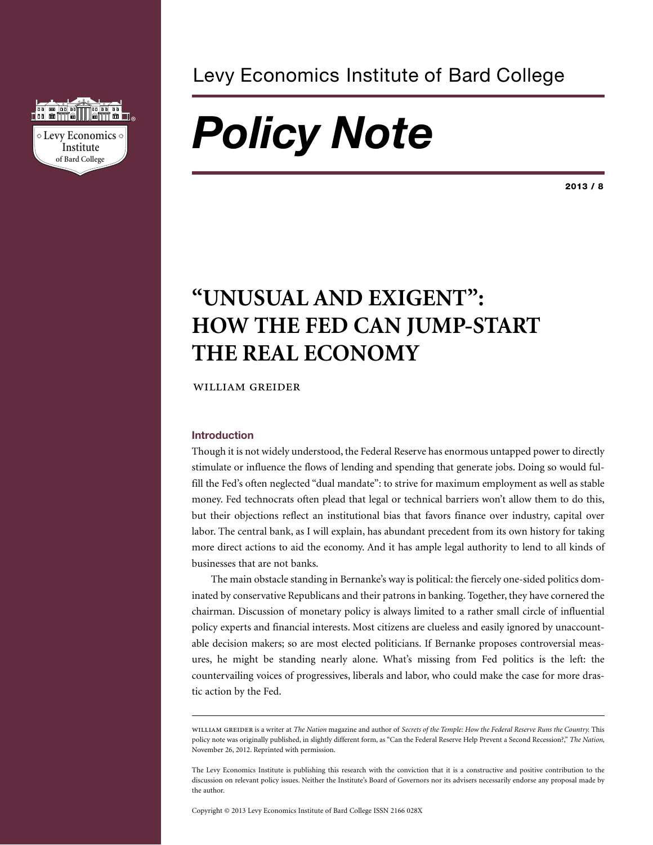

### Levy Economics Institute of Bard College

# *Policy Note*

**2013 / 8**

## **"UNUSUAL AND EXIGENT": HOW THE FED CAN JUMP-START THE REAL ECONOMY**

WILLIAM GREIDER

#### **Introduction**

Though it is not widely understood, the Federal Reserve has enormous untapped power to directly stimulate or influence the flows of lending and spending that generate jobs. Doing so would fulfill the Fed's often neglected "dual mandate": to strive for maximum employment as well as stable money. Fed technocrats often plead that legal or technical barriers won't allow them to do this, but their objections reflect an institutional bias that favors finance over industry, capital over labor. The central bank, as I will explain, has abundant precedent from its own history for taking more direct actions to aid the economy. And it has ample legal authority to lend to all kinds of businesses that are not banks.

The main obstacle standing in Bernanke's way is political: the fiercely one-sided politics dominated by conservative Republicans and their patrons in banking. Together, they have cornered the chairman. Discussion of monetary policy is always limited to a rather small circle of influential policy experts and financial interests. Most citizens are clueless and easily ignored by unaccountable decision makers; so are most elected politicians. If Bernanke proposes controversial measures, he might be standing nearly alone. What's missing from Fed politics is the left: the countervailing voices of progressives, liberals and labor, who could make the case for more drastic action by the Fed.

The Levy Economics Institute is publishing this research with the conviction that it is a constructive and positive contribution to the discussion on relevant policy issues. Neither the Institute's Board of Governors nor its advisers necessarily endorse any proposal made by the author.

Copyright © 2013 Levy Economics Institute of Bard College ISSN 2166 028X

 is a writer at *The Nation* magazine and author of *Secrets of the Temple: How the Federal Reserve Runs the Country.* This policy note was originally published, in slightly different form, as "Can the Federal Reserve Help Prevent a Second Recession?," *The Nation*, November 26, 2012. Reprinted with permission.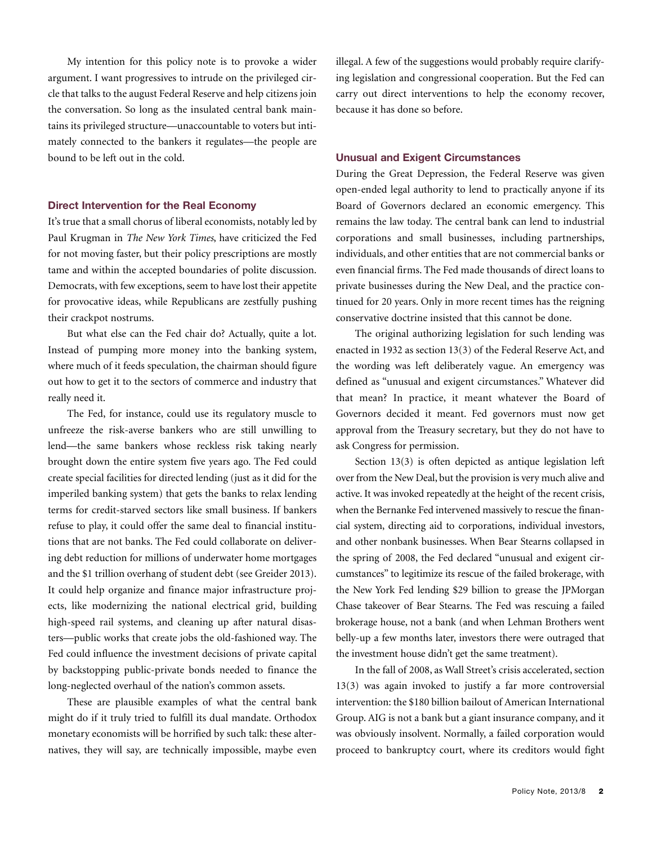My intention for this policy note is to provoke a wider argument. I want progressives to intrude on the privileged circle that talks to the august Federal Reserve and help citizens join the conversation. So long as the insulated central bank maintains its privileged structure—unaccountable to voters but intimately connected to the bankers it regulates—the people are bound to be left out in the cold.

#### **Direct Intervention for the Real Economy**

It's true that a small chorus of liberal economists, notably led by Paul Krugman in *The New York Times*, have criticized the Fed for not moving faster, but their policy prescriptions are mostly tame and within the accepted boundaries of polite discussion. Democrats, with few exceptions, seem to have lost their appetite for provocative ideas, while Republicans are zestfully pushing their crackpot nostrums.

But what else can the Fed chair do? Actually, quite a lot. Instead of pumping more money into the banking system, where much of it feeds speculation, the chairman should figure out how to get it to the sectors of commerce and industry that really need it.

The Fed, for instance, could use its regulatory muscle to unfreeze the risk-averse bankers who are still unwilling to lend—the same bankers whose reckless risk taking nearly brought down the entire system five years ago. The Fed could create special facilities for directed lending (just as it did for the imperiled banking system) that gets the banks to relax lending terms for credit-starved sectors like small business. If bankers refuse to play, it could offer the same deal to financial institutions that are not banks. The Fed could collaborate on delivering debt reduction for millions of underwater home mortgages and the \$1 trillion overhang of student debt (see Greider 2013). It could help organize and finance major infrastructure projects, like modernizing the national electrical grid, building high-speed rail systems, and cleaning up after natural disasters—public works that create jobs the old-fashioned way. The Fed could influence the investment decisions of private capital by backstopping public-private bonds needed to finance the long-neglected overhaul of the nation's common assets.

These are plausible examples of what the central bank might do if it truly tried to fulfill its dual mandate. Orthodox monetary economists will be horrified by such talk: these alternatives, they will say, are technically impossible, maybe even illegal. A few of the suggestions would probably require clarifying legislation and congressional cooperation. But the Fed can carry out direct interventions to help the economy recover, because it has done so before.

#### **Unusual and Exigent Circumstances**

During the Great Depression, the Federal Reserve was given open-ended legal authority to lend to practically anyone if its Board of Governors declared an economic emergency. This remains the law today. The central bank can lend to industrial corporations and small businesses, including partnerships, individuals, and other entities that are not commercial banks or even financial firms. The Fed made thousands of direct loans to private businesses during the New Deal, and the practice continued for 20 years. Only in more recent times has the reigning conservative doctrine insisted that this cannot be done.

The original authorizing legislation for such lending was enacted in 1932 as section 13(3) of the Federal Reserve Act, and the wording was left deliberately vague. An emergency was defined as "unusual and exigent circumstances." Whatever did that mean? In practice, it meant whatever the Board of Governors decided it meant. Fed governors must now get approval from the Treasury secretary, but they do not have to ask Congress for permission.

Section 13(3) is often depicted as antique legislation left over from the New Deal, but the provision is very much alive and active. It was invoked repeatedly at the height of the recent crisis, when the Bernanke Fed intervened massively to rescue the financial system, directing aid to corporations, individual investors, and other nonbank businesses. When Bear Stearns collapsed in the spring of 2008, the Fed declared "unusual and exigent circumstances" to legitimize its rescue of the failed brokerage, with the New York Fed lending \$29 billion to grease the JPMorgan Chase takeover of Bear Stearns. The Fed was rescuing a failed brokerage house, not a bank (and when Lehman Brothers went belly-up a few months later, investors there were outraged that the investment house didn't get the same treatment).

In the fall of 2008, as Wall Street's crisis accelerated, section 13(3) was again invoked to justify a far more controversial intervention: the \$180 billion bailout of American International Group. AIG is not a bank but a giant insurance company, and it was obviously insolvent. Normally, a failed corporation would proceed to bankruptcy court, where its creditors would fight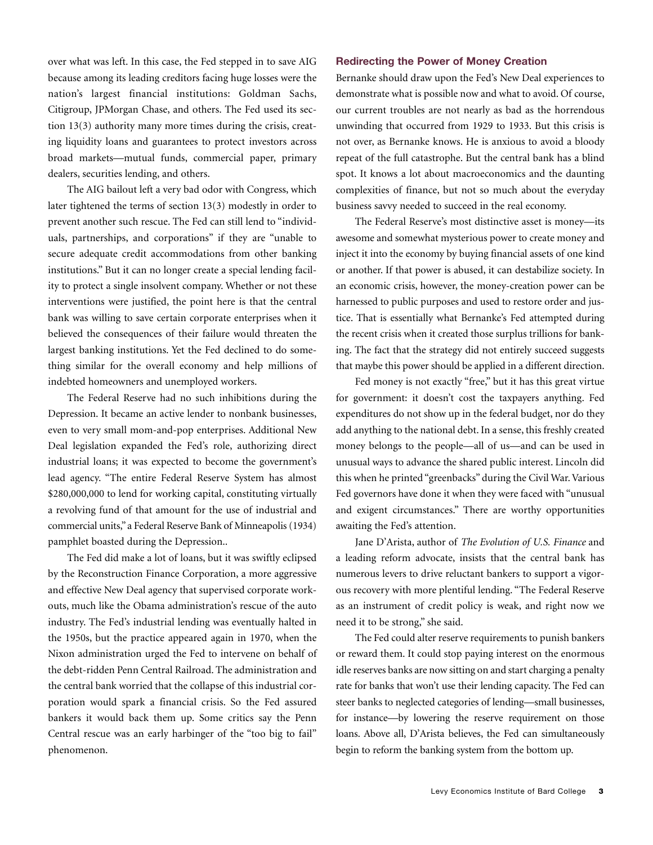over what was left. In this case, the Fed stepped in to save AIG because among its leading creditors facing huge losses were the nation's largest financial institutions: Goldman Sachs, Citigroup, JPMorgan Chase, and others. The Fed used its section 13(3) authority many more times during the crisis, creating liquidity loans and guarantees to protect investors across broad markets—mutual funds, commercial paper, primary dealers, securities lending, and others.

The AIG bailout left a very bad odor with Congress, which later tightened the terms of section 13(3) modestly in order to prevent another such rescue. The Fed can still lend to "individuals, partnerships, and corporations" if they are "unable to secure adequate credit accommodations from other banking institutions." But it can no longer create a special lending facility to protect a single insolvent company. Whether or not these interventions were justified, the point here is that the central bank was willing to save certain corporate enterprises when it believed the consequences of their failure would threaten the largest banking institutions. Yet the Fed declined to do something similar for the overall economy and help millions of indebted homeowners and unemployed workers.

The Federal Reserve had no such inhibitions during the Depression. It became an active lender to nonbank businesses, even to very small mom-and-pop enterprises. Additional New Deal legislation expanded the Fed's role, authorizing direct industrial loans; it was expected to become the government's lead agency. "The entire Federal Reserve System has almost \$280,000,000 to lend for working capital, constituting virtually a revolving fund of that amount for the use of industrial and commercial units," a Federal Reserve Bank of Minneapolis(1934) pamphlet boasted during the Depression..

The Fed did make a lot of loans, but it was swiftly eclipsed by the Reconstruction Finance Corporation, a more aggressive and effective New Deal agency that supervised corporate workouts, much like the Obama administration's rescue of the auto industry. The Fed's industrial lending was eventually halted in the 1950s, but the practice appeared again in 1970, when the Nixon administration urged the Fed to intervene on behalf of the debt-ridden Penn Central Railroad. The administration and the central bank worried that the collapse of this industrial corporation would spark a financial crisis. So the Fed assured bankers it would back them up. Some critics say the Penn Central rescue was an early harbinger of the "too big to fail" phenomenon.

#### **Redirecting the Power of Money Creation**

Bernanke should draw upon the Fed's New Deal experiences to demonstrate what is possible now and what to avoid. Of course, our current troubles are not nearly as bad as the horrendous unwinding that occurred from 1929 to 1933. But this crisis is not over, as Bernanke knows. He is anxious to avoid a bloody repeat of the full catastrophe. But the central bank has a blind spot. It knows a lot about macroeconomics and the daunting complexities of finance, but not so much about the everyday business savvy needed to succeed in the real economy.

The Federal Reserve's most distinctive asset is money—its awesome and somewhat mysterious power to create money and inject it into the economy by buying financial assets of one kind or another. If that power is abused, it can destabilize society. In an economic crisis, however, the money-creation power can be harnessed to public purposes and used to restore order and justice. That is essentially what Bernanke's Fed attempted during the recent crisis when it created those surplus trillions for banking. The fact that the strategy did not entirely succeed suggests that maybe this power should be applied in a different direction.

Fed money is not exactly "free," but it has this great virtue for government: it doesn't cost the taxpayers anything. Fed expenditures do not show up in the federal budget, nor do they add anything to the national debt. In a sense, this freshly created money belongs to the people—all of us—and can be used in unusual ways to advance the shared public interest. Lincoln did this when he printed "greenbacks" during the Civil War. Various Fed governors have done it when they were faced with "unusual and exigent circumstances." There are worthy opportunities awaiting the Fed's attention.

Jane D'Arista, author of *The Evolution of U.S. Finance* and a leading reform advocate, insists that the central bank has numerous levers to drive reluctant bankers to support a vigorous recovery with more plentiful lending. "The Federal Reserve as an instrument of credit policy is weak, and right now we need it to be strong," she said.

The Fed could alter reserve requirements to punish bankers or reward them. It could stop paying interest on the enormous idle reserves banks are now sitting on and start charging a penalty rate for banks that won't use their lending capacity. The Fed can steer banks to neglected categories of lending—small businesses, for instance—by lowering the reserve requirement on those loans. Above all, D'Arista believes, the Fed can simultaneously begin to reform the banking system from the bottom up.